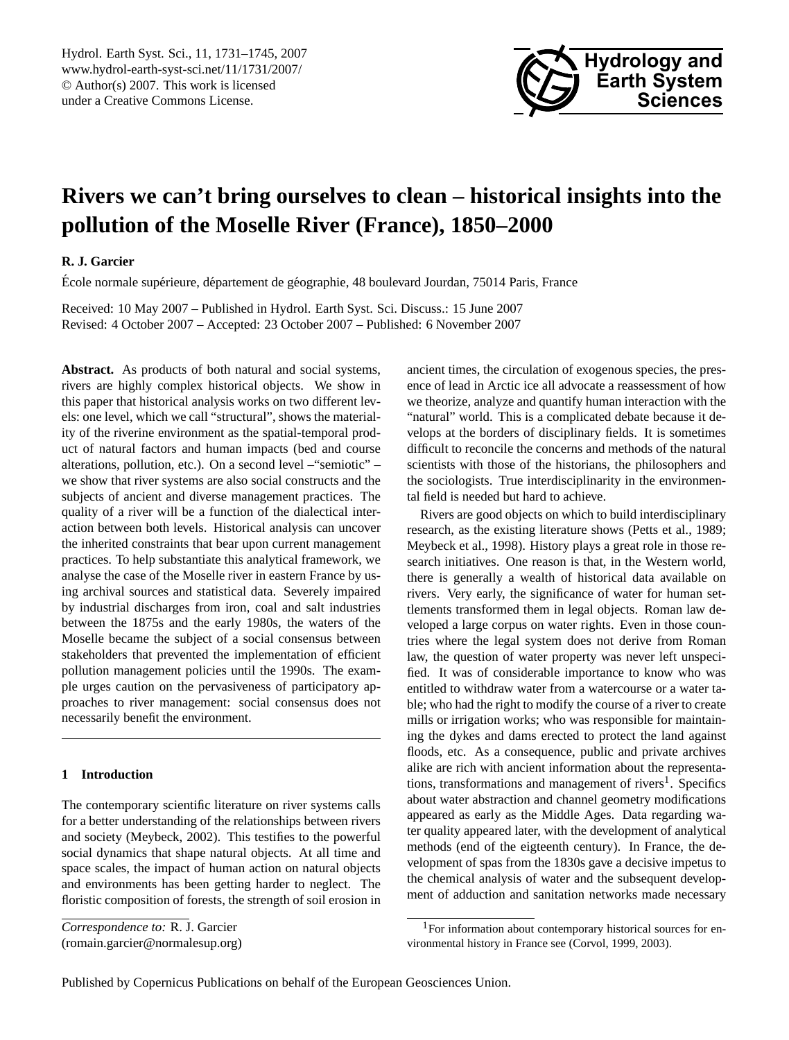

# <span id="page-0-1"></span>**Rivers we can't bring ourselves to clean – historical insights into the pollution of the Moselle River (France), 1850–2000**

## **R. J. Garcier**

École normale supérieure, département de géographie, 48 boulevard Jourdan, 75014 Paris, France

Received: 10 May 2007 – Published in Hydrol. Earth Syst. Sci. Discuss.: 15 June 2007 Revised: 4 October 2007 – Accepted: 23 October 2007 – Published: 6 November 2007

**Abstract.** As products of both natural and social systems, rivers are highly complex historical objects. We show in this paper that historical analysis works on two different levels: one level, which we call "structural", shows the materiality of the riverine environment as the spatial-temporal product of natural factors and human impacts (bed and course alterations, pollution, etc.). On a second level –"semiotic" – we show that river systems are also social constructs and the subjects of ancient and diverse management practices. The quality of a river will be a function of the dialectical interaction between both levels. Historical analysis can uncover the inherited constraints that bear upon current management practices. To help substantiate this analytical framework, we analyse the case of the Moselle river in eastern France by using archival sources and statistical data. Severely impaired by industrial discharges from iron, coal and salt industries between the 1875s and the early 1980s, the waters of the Moselle became the subject of a social consensus between stakeholders that prevented the implementation of efficient pollution management policies until the 1990s. The example urges caution on the pervasiveness of participatory approaches to river management: social consensus does not necessarily benefit the environment.

## **1 Introduction**

The contemporary scientific literature on river systems calls for a better understanding of the relationships between rivers and society [\(Meybeck,](#page-14-0) [2002\)](#page-14-0). This testifies to the powerful social dynamics that shape natural objects. At all time and space scales, the impact of human action on natural objects and environments has been getting harder to neglect. The floristic composition of forests, the strength of soil erosion in

*Correspondence to:* R. J. Garcier

(romain.garcier@normalesup.org)

ancient times, the circulation of exogenous species, the presence of lead in Arctic ice all advocate a reassessment of how we theorize, analyze and quantify human interaction with the "natural" world. This is a complicated debate because it develops at the borders of disciplinary fields. It is sometimes difficult to reconcile the concerns and methods of the natural scientists with those of the historians, the philosophers and the sociologists. True interdisciplinarity in the environmental field is needed but hard to achieve.

Rivers are good objects on which to build interdisciplinary research, as the existing literature shows [\(Petts et al.,](#page-14-1) [1989;](#page-14-1) [Meybeck et al.,](#page-14-2) [1998\)](#page-14-2). History plays a great role in those research initiatives. One reason is that, in the Western world, there is generally a wealth of historical data available on rivers. Very early, the significance of water for human settlements transformed them in legal objects. Roman law developed a large corpus on water rights. Even in those countries where the legal system does not derive from Roman law, the question of water property was never left unspecified. It was of considerable importance to know who was entitled to withdraw water from a watercourse or a water table; who had the right to modify the course of a river to create mills or irrigation works; who was responsible for maintaining the dykes and dams erected to protect the land against floods, etc. As a consequence, public and private archives alike are rich with ancient information about the representa-tions, transformations and management of rivers<sup>[1](#page-0-0)</sup>. Specifics about water abstraction and channel geometry modifications appeared as early as the Middle Ages. Data regarding water quality appeared later, with the development of analytical methods (end of the eigteenth century). In France, the development of spas from the 1830s gave a decisive impetus to the chemical analysis of water and the subsequent development of adduction and sanitation networks made necessary

<span id="page-0-0"></span> $1$ For information about contemporary historical sources for environmental history in France see [\(Corvol,](#page-13-0) [1999,](#page-13-0) [2003\)](#page-13-1).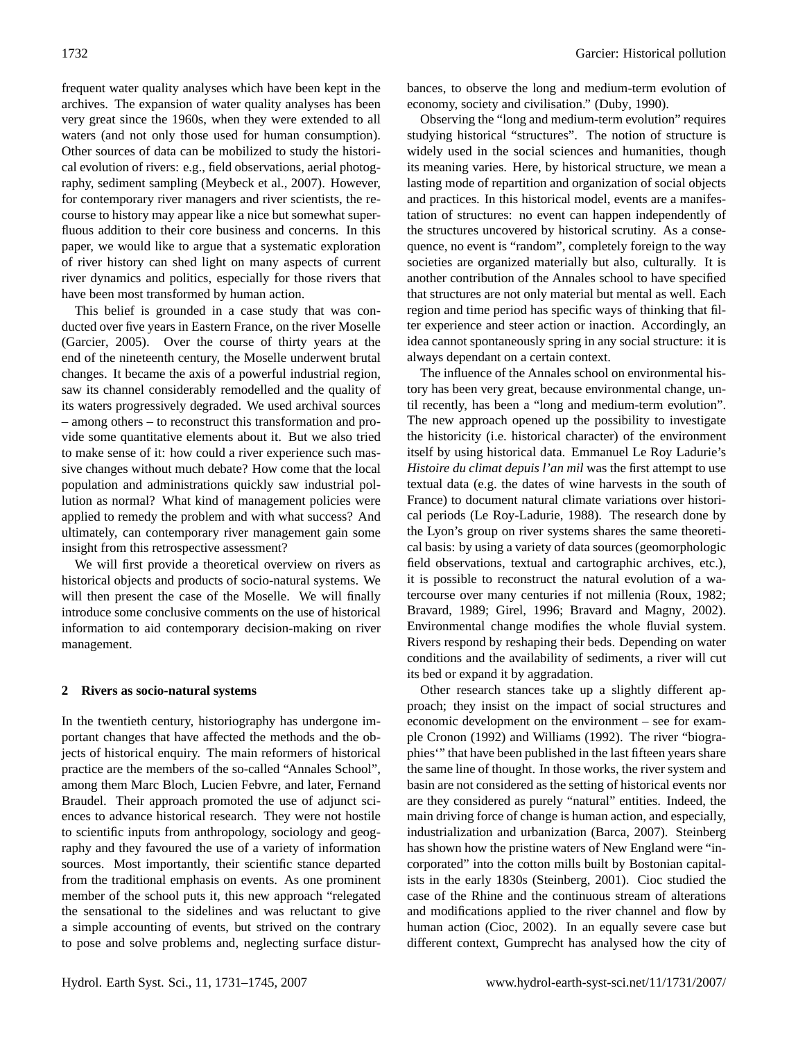frequent water quality analyses which have been kept in the archives. The expansion of water quality analyses has been very great since the 1960s, when they were extended to all waters (and not only those used for human consumption). Other sources of data can be mobilized to study the historical evolution of rivers: e.g., field observations, aerial photography, sediment sampling [\(Meybeck et al.,](#page-14-3) [2007\)](#page-14-3). However, for contemporary river managers and river scientists, the recourse to history may appear like a nice but somewhat superfluous addition to their core business and concerns. In this paper, we would like to argue that a systematic exploration of river history can shed light on many aspects of current river dynamics and politics, especially for those rivers that have been most transformed by human action.

This belief is grounded in a case study that was conducted over five years in Eastern France, on the river Moselle [\(Garcier,](#page-13-2) [2005\)](#page-13-2). Over the course of thirty years at the end of the nineteenth century, the Moselle underwent brutal changes. It became the axis of a powerful industrial region, saw its channel considerably remodelled and the quality of its waters progressively degraded. We used archival sources – among others – to reconstruct this transformation and provide some quantitative elements about it. But we also tried to make sense of it: how could a river experience such massive changes without much debate? How come that the local population and administrations quickly saw industrial pollution as normal? What kind of management policies were applied to remedy the problem and with what success? And ultimately, can contemporary river management gain some insight from this retrospective assessment?

We will first provide a theoretical overview on rivers as historical objects and products of socio-natural systems. We will then present the case of the Moselle. We will finally introduce some conclusive comments on the use of historical information to aid contemporary decision-making on river management.

#### **2 Rivers as socio-natural systems**

In the twentieth century, historiography has undergone important changes that have affected the methods and the objects of historical enquiry. The main reformers of historical practice are the members of the so-called "Annales School", among them Marc Bloch, Lucien Febvre, and later, Fernand Braudel. Their approach promoted the use of adjunct sciences to advance historical research. They were not hostile to scientific inputs from anthropology, sociology and geography and they favoured the use of a variety of information sources. Most importantly, their scientific stance departed from the traditional emphasis on events. As one prominent member of the school puts it, this new approach "relegated the sensational to the sidelines and was reluctant to give a simple accounting of events, but strived on the contrary to pose and solve problems and, neglecting surface disturbances, to observe the long and medium-term evolution of economy, society and civilisation." [\(Duby,](#page-13-3) [1990\)](#page-13-3).

Observing the "long and medium-term evolution" requires studying historical "structures". The notion of structure is widely used in the social sciences and humanities, though its meaning varies. Here, by historical structure, we mean a lasting mode of repartition and organization of social objects and practices. In this historical model, events are a manifestation of structures: no event can happen independently of the structures uncovered by historical scrutiny. As a consequence, no event is "random", completely foreign to the way societies are organized materially but also, culturally. It is another contribution of the Annales school to have specified that structures are not only material but mental as well. Each region and time period has specific ways of thinking that filter experience and steer action or inaction. Accordingly, an idea cannot spontaneously spring in any social structure: it is always dependant on a certain context.

The influence of the Annales school on environmental history has been very great, because environmental change, until recently, has been a "long and medium-term evolution". The new approach opened up the possibility to investigate the historicity (i.e. historical character) of the environment itself by using historical data. Emmanuel Le Roy Ladurie's *Histoire du climat depuis l'an mil* was the first attempt to use textual data (e.g. the dates of wine harvests in the south of France) to document natural climate variations over historical periods [\(Le Roy-Ladurie,](#page-14-4) [1988\)](#page-14-4). The research done by the Lyon's group on river systems shares the same theoretical basis: by using a variety of data sources (geomorphologic field observations, textual and cartographic archives, etc.), it is possible to reconstruct the natural evolution of a watercourse over many centuries if not millenia [\(Roux,](#page-14-5) [1982;](#page-14-5) [Bravard,](#page-13-4) [1989;](#page-13-4) [Girel,](#page-13-5) [1996;](#page-13-5) [Bravard and Magny,](#page-13-6) [2002\)](#page-13-6). Environmental change modifies the whole fluvial system. Rivers respond by reshaping their beds. Depending on water conditions and the availability of sediments, a river will cut its bed or expand it by aggradation.

Other research stances take up a slightly different approach; they insist on the impact of social structures and economic development on the environment – see for example [Cronon](#page-13-7) [\(1992\)](#page-13-7) and [Williams](#page-14-6) [\(1992\)](#page-14-6). The river "biographies'" that have been published in the last fifteen years share the same line of thought. In those works, the river system and basin are not considered as the setting of historical events nor are they considered as purely "natural" entities. Indeed, the main driving force of change is human action, and especially, industrialization and urbanization [\(Barca,](#page-13-8) [2007\)](#page-13-8). Steinberg has shown how the pristine waters of New England were "incorporated" into the cotton mills built by Bostonian capitalists in the early 1830s [\(Steinberg,](#page-14-7) [2001\)](#page-14-7). Cioc studied the case of the Rhine and the continuous stream of alterations and modifications applied to the river channel and flow by human action [\(Cioc,](#page-13-9) [2002\)](#page-13-9). In an equally severe case but different context, Gumprecht has analysed how the city of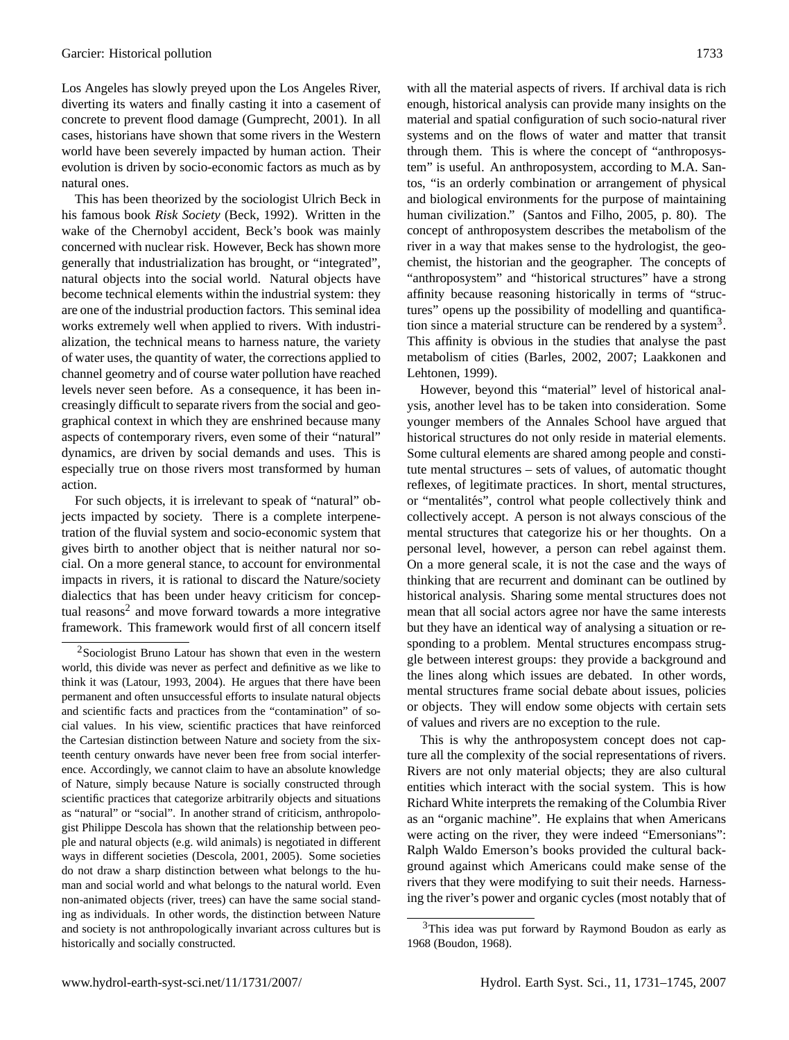Los Angeles has slowly preyed upon the Los Angeles River, diverting its waters and finally casting it into a casement of concrete to prevent flood damage [\(Gumprecht,](#page-14-8) [2001\)](#page-14-8). In all cases, historians have shown that some rivers in the Western world have been severely impacted by human action. Their evolution is driven by socio-economic factors as much as by natural ones.

This has been theorized by the sociologist Ulrich Beck in his famous book *Risk Society* [\(Beck,](#page-13-10) [1992\)](#page-13-10). Written in the wake of the Chernobyl accident, Beck's book was mainly concerned with nuclear risk. However, Beck has shown more generally that industrialization has brought, or "integrated", natural objects into the social world. Natural objects have become technical elements within the industrial system: they are one of the industrial production factors. This seminal idea works extremely well when applied to rivers. With industrialization, the technical means to harness nature, the variety of water uses, the quantity of water, the corrections applied to channel geometry and of course water pollution have reached levels never seen before. As a consequence, it has been increasingly difficult to separate rivers from the social and geographical context in which they are enshrined because many aspects of contemporary rivers, even some of their "natural" dynamics, are driven by social demands and uses. This is especially true on those rivers most transformed by human action.

For such objects, it is irrelevant to speak of "natural" objects impacted by society. There is a complete interpenetration of the fluvial system and socio-economic system that gives birth to another object that is neither natural nor social. On a more general stance, to account for environmental impacts in rivers, it is rational to discard the Nature/society dialectics that has been under heavy criticism for concep-tual reasons<sup>[2](#page-2-0)</sup> and move forward towards a more integrative framework. This framework would first of all concern itself

with all the material aspects of rivers. If archival data is rich enough, historical analysis can provide many insights on the material and spatial configuration of such socio-natural river systems and on the flows of water and matter that transit through them. This is where the concept of "anthroposystem" is useful. An anthroposystem, according to M.A. Santos, "is an orderly combination or arrangement of physical and biological environments for the purpose of maintaining human civilization." [\(Santos and Filho,](#page-14-11) [2005,](#page-14-11) p. 80). The concept of anthroposystem describes the metabolism of the river in a way that makes sense to the hydrologist, the geochemist, the historian and the geographer. The concepts of "anthroposystem" and "historical structures" have a strong affinity because reasoning historically in terms of "structures" opens up the possibility of modelling and quantifica-tion since a material structure can be rendered by a system<sup>[3](#page-2-1)</sup>. This affinity is obvious in the studies that analyse the past metabolism of cities [\(Barles,](#page-13-13) [2002,](#page-13-13) [2007;](#page-13-14) [Laakkonen and](#page-14-12) [Lehtonen,](#page-14-12) [1999\)](#page-14-12).

However, beyond this "material" level of historical analysis, another level has to be taken into consideration. Some younger members of the Annales School have argued that historical structures do not only reside in material elements. Some cultural elements are shared among people and constitute mental structures – sets of values, of automatic thought reflexes, of legitimate practices. In short, mental structures, or "mentalités", control what people collectively think and collectively accept. A person is not always conscious of the mental structures that categorize his or her thoughts. On a personal level, however, a person can rebel against them. On a more general scale, it is not the case and the ways of thinking that are recurrent and dominant can be outlined by historical analysis. Sharing some mental structures does not mean that all social actors agree nor have the same interests but they have an identical way of analysing a situation or responding to a problem. Mental structures encompass struggle between interest groups: they provide a background and the lines along which issues are debated. In other words, mental structures frame social debate about issues, policies or objects. They will endow some objects with certain sets of values and rivers are no exception to the rule.

This is why the anthroposystem concept does not capture all the complexity of the social representations of rivers. Rivers are not only material objects; they are also cultural entities which interact with the social system. This is how Richard White interprets the remaking of the Columbia River as an "organic machine". He explains that when Americans were acting on the river, they were indeed "Emersonians": Ralph Waldo Emerson's books provided the cultural background against which Americans could make sense of the rivers that they were modifying to suit their needs. Harnessing the river's power and organic cycles (most notably that of

<span id="page-2-0"></span><sup>2</sup>Sociologist Bruno Latour has shown that even in the western world, this divide was never as perfect and definitive as we like to think it was [\(Latour,](#page-14-9) [1993,](#page-14-9) [2004\)](#page-14-10). He argues that there have been permanent and often unsuccessful efforts to insulate natural objects and scientific facts and practices from the "contamination" of social values. In his view, scientific practices that have reinforced the Cartesian distinction between Nature and society from the sixteenth century onwards have never been free from social interference. Accordingly, we cannot claim to have an absolute knowledge of Nature, simply because Nature is socially constructed through scientific practices that categorize arbitrarily objects and situations as "natural" or "social". In another strand of criticism, anthropologist Philippe Descola has shown that the relationship between people and natural objects (e.g. wild animals) is negotiated in different ways in different societies [\(Descola,](#page-13-11) [2001,](#page-13-11) [2005\)](#page-13-12). Some societies do not draw a sharp distinction between what belongs to the human and social world and what belongs to the natural world. Even non-animated objects (river, trees) can have the same social standing as individuals. In other words, the distinction between Nature and society is not anthropologically invariant across cultures but is historically and socially constructed.

<span id="page-2-1"></span><sup>&</sup>lt;sup>3</sup>This idea was put forward by Raymond Boudon as early as 1968 [\(Boudon,](#page-13-15) [1968\)](#page-13-15).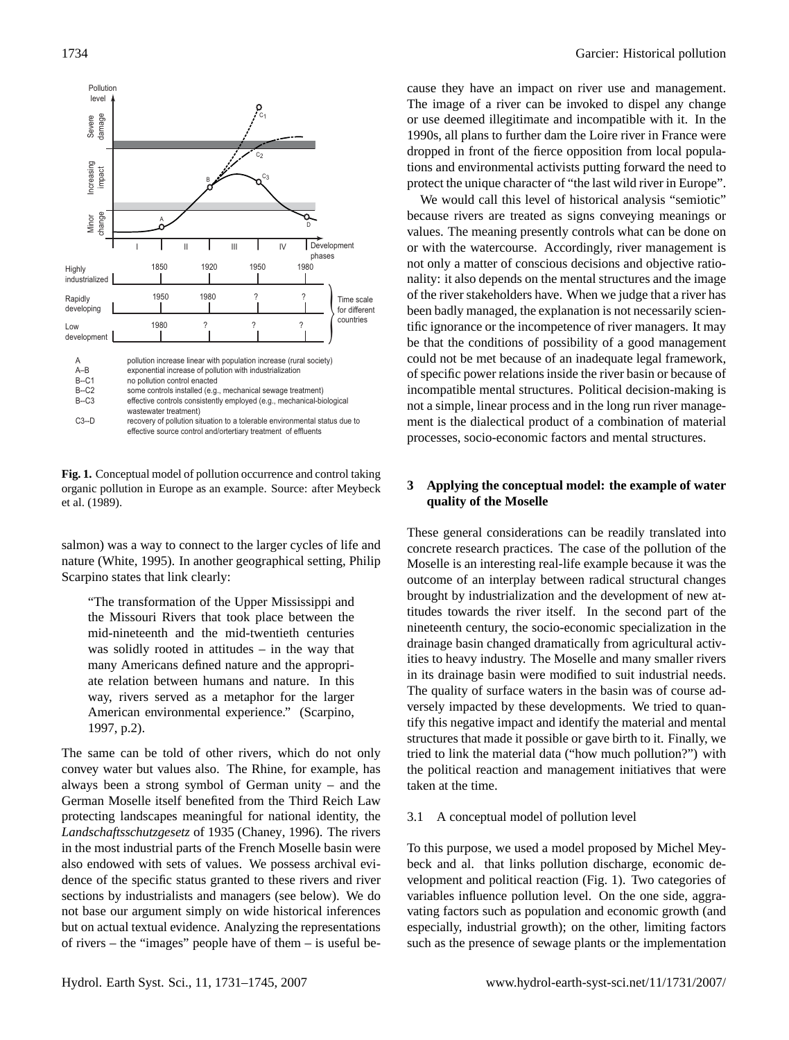

<span id="page-3-0"></span>**Fig. 1.** Conceptual model of pollution occurrence and control taking organic pollution in Europe as an example. Source: after [Meybeck](#page-14-13) [et al.](#page-14-13) [\(1989\)](#page-14-13).

salmon) was a way to connect to the larger cycles of life and nature [\(White,](#page-14-14) [1995\)](#page-14-14). In another geographical setting, Philip Scarpino states that link clearly:

"The transformation of the Upper Mississippi and the Missouri Rivers that took place between the mid-nineteenth and the mid-twentieth centuries was solidly rooted in attitudes – in the way that many Americans defined nature and the appropriate relation between humans and nature. In this way, rivers served as a metaphor for the larger American environmental experience." [\(Scarpino,](#page-14-15) [1997,](#page-14-15) p.2).

The same can be told of other rivers, which do not only convey water but values also. The Rhine, for example, has always been a strong symbol of German unity – and the German Moselle itself benefited from the Third Reich Law protecting landscapes meaningful for national identity, the *Landschaftsschutzgesetz* of 1935 [\(Chaney,](#page-13-16) [1996\)](#page-13-16). The rivers in the most industrial parts of the French Moselle basin were also endowed with sets of values. We possess archival evidence of the specific status granted to these rivers and river sections by industrialists and managers (see below). We do not base our argument simply on wide historical inferences but on actual textual evidence. Analyzing the representations of rivers – the "images" people have of them – is useful be-

cause they have an impact on river use and management. The image of a river can be invoked to dispel any change or use deemed illegitimate and incompatible with it. In the 1990s, all plans to further dam the Loire river in France were dropped in front of the fierce opposition from local populations and environmental activists putting forward the need to protect the unique character of "the last wild river in Europe".

We would call this level of historical analysis "semiotic" because rivers are treated as signs conveying meanings or values. The meaning presently controls what can be done on or with the watercourse. Accordingly, river management is not only a matter of conscious decisions and objective rationality: it also depends on the mental structures and the image of the river stakeholders have. When we judge that a river has been badly managed, the explanation is not necessarily scientific ignorance or the incompetence of river managers. It may be that the conditions of possibility of a good management could not be met because of an inadequate legal framework, of specific power relations inside the river basin or because of incompatible mental structures. Political decision-making is not a simple, linear process and in the long run river management is the dialectical product of a combination of material processes, socio-economic factors and mental structures.

# **3 Applying the conceptual model: the example of water quality of the Moselle**

These general considerations can be readily translated into concrete research practices. The case of the pollution of the Moselle is an interesting real-life example because it was the outcome of an interplay between radical structural changes brought by industrialization and the development of new attitudes towards the river itself. In the second part of the nineteenth century, the socio-economic specialization in the drainage basin changed dramatically from agricultural activities to heavy industry. The Moselle and many smaller rivers in its drainage basin were modified to suit industrial needs. The quality of surface waters in the basin was of course adversely impacted by these developments. We tried to quantify this negative impact and identify the material and mental structures that made it possible or gave birth to it. Finally, we tried to link the material data ("how much pollution?") with the political reaction and management initiatives that were taken at the time.

## <span id="page-3-1"></span>3.1 A conceptual model of pollution level

To this purpose, we used a model proposed by Michel Meybeck and al. that links pollution discharge, economic development and political reaction (Fig. [1\)](#page-3-0). Two categories of variables influence pollution level. On the one side, aggravating factors such as population and economic growth (and especially, industrial growth); on the other, limiting factors such as the presence of sewage plants or the implementation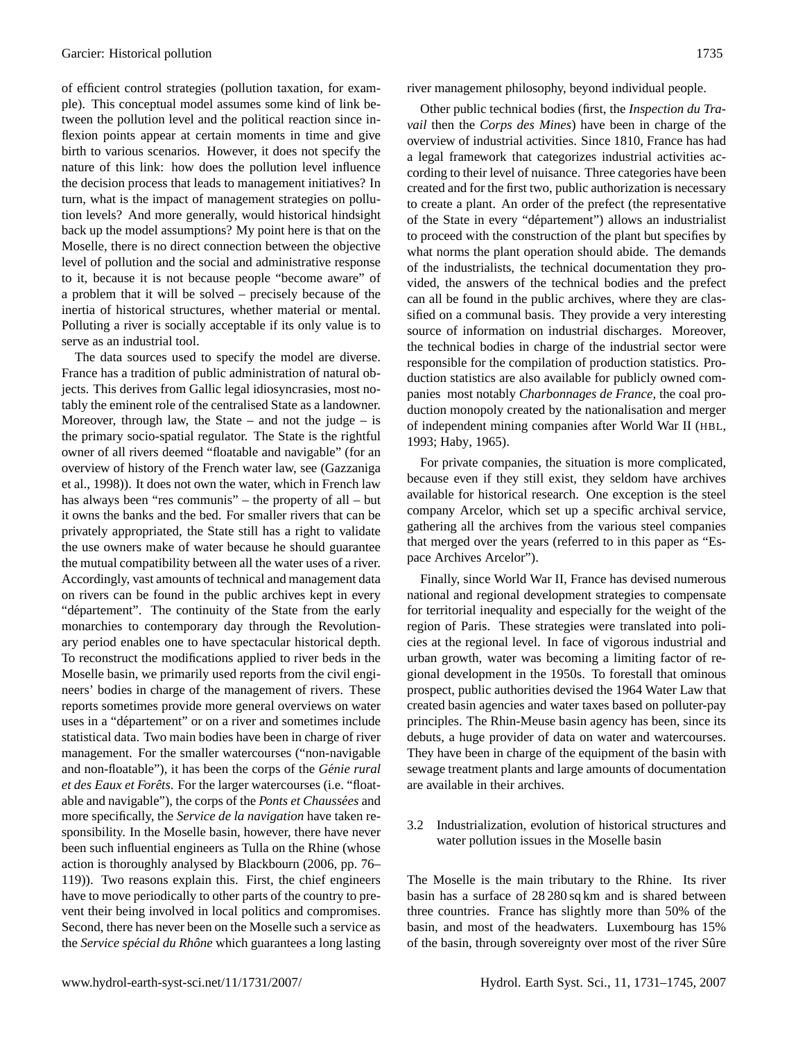of efficient control strategies (pollution taxation, for example). This conceptual model assumes some kind of link between the pollution level and the political reaction since inflexion points appear at certain moments in time and give birth to various scenarios. However, it does not specify the nature of this link: how does the pollution level influence the decision process that leads to management initiatives? In turn, what is the impact of management strategies on pollution levels? And more generally, would historical hindsight back up the model assumptions? My point here is that on the Moselle, there is no direct connection between the objective level of pollution and the social and administrative response to it, because it is not because people "become aware" of a problem that it will be solved – precisely because of the inertia of historical structures, whether material or mental. Polluting a river is socially acceptable if its only value is to serve as an industrial tool.

The data sources used to specify the model are diverse. France has a tradition of public administration of natural objects. This derives from Gallic legal idiosyncrasies, most notably the eminent role of the centralised State as a landowner. Moreover, through law, the State – and not the judge – is the primary socio-spatial regulator. The State is the rightful owner of all rivers deemed "floatable and navigable" (for an overview of history of the French water law, see [\(Gazzaniga](#page-13-17) [et al.,](#page-13-17) [1998\)](#page-13-17)). It does not own the water, which in French law has always been "res communis" – the property of all – but it owns the banks and the bed. For smaller rivers that can be privately appropriated, the State still has a right to validate the use owners make of water because he should guarantee the mutual compatibility between all the water uses of a river. Accordingly, vast amounts of technical and management data on rivers can be found in the public archives kept in every "département". The continuity of the State from the early monarchies to contemporary day through the Revolutionary period enables one to have spectacular historical depth. To reconstruct the modifications applied to river beds in the Moselle basin, we primarily used reports from the civil engineers' bodies in charge of the management of rivers. These reports sometimes provide more general overviews on water uses in a "département" or on a river and sometimes include statistical data. Two main bodies have been in charge of river management. For the smaller watercourses ("non-navigable and non-floatable"), it has been the corps of the *Génie rural et des Eaux et Forêts*. For the larger watercourses (i.e. "floatable and navigable"), the corps of the *Ponts et Chaussées* and more specifically, the *Service de la navigation* have taken responsibility. In the Moselle basin, however, there have never been such influential engineers as Tulla on the Rhine (whose action is thoroughly analysed by [Blackbourn](#page-13-18) [\(2006,](#page-13-18) pp. 76– 119)). Two reasons explain this. First, the chief engineers have to move periodically to other parts of the country to prevent their being involved in local politics and compromises. Second, there has never been on the Moselle such a service as the *Service spécial du Rhône* which guarantees a long lasting river management philosophy, beyond individual people.

Other public technical bodies (first, the *Inspection du Travail* then the *Corps des Mines*) have been in charge of the overview of industrial activities. Since 1810, France has had a legal framework that categorizes industrial activities according to their level of nuisance. Three categories have been created and for the first two, public authorization is necessary to create a plant. An order of the prefect (the representative of the State in every "département") allows an industrialist to proceed with the construction of the plant but specifies by what norms the plant operation should abide. The demands of the industrialists, the technical documentation they provided, the answers of the technical bodies and the prefect can all be found in the public archives, where they are classified on a communal basis. They provide a very interesting source of information on industrial discharges. Moreover, the technical bodies in charge of the industrial sector were responsible for the compilation of production statistics. Production statistics are also available for publicly owned companies most notably *Charbonnages de France*, the coal production monopoly created by the nationalisation and merger of independent mining companies after World War II ([HBL](#page-14-16), [1993;](#page-14-16) [Haby,](#page-14-17) [1965\)](#page-14-17).

For private companies, the situation is more complicated, because even if they still exist, they seldom have archives available for historical research. One exception is the steel company Arcelor, which set up a specific archival service, gathering all the archives from the various steel companies that merged over the years (referred to in this paper as "Espace Archives Arcelor").

Finally, since World War II, France has devised numerous national and regional development strategies to compensate for territorial inequality and especially for the weight of the region of Paris. These strategies were translated into policies at the regional level. In face of vigorous industrial and urban growth, water was becoming a limiting factor of regional development in the 1950s. To forestall that ominous prospect, public authorities devised the 1964 Water Law that created basin agencies and water taxes based on polluter-pay principles. The Rhin-Meuse basin agency has been, since its debuts, a huge provider of data on water and watercourses. They have been in charge of the equipment of the basin with sewage treatment plants and large amounts of documentation are available in their archives.

3.2 Industrialization, evolution of historical structures and water pollution issues in the Moselle basin

The Moselle is the main tributary to the Rhine. Its river basin has a surface of 28 280 sq km and is shared between three countries. France has slightly more than 50% of the basin, and most of the headwaters. Luxembourg has 15% of the basin, through sovereignty over most of the river Sûre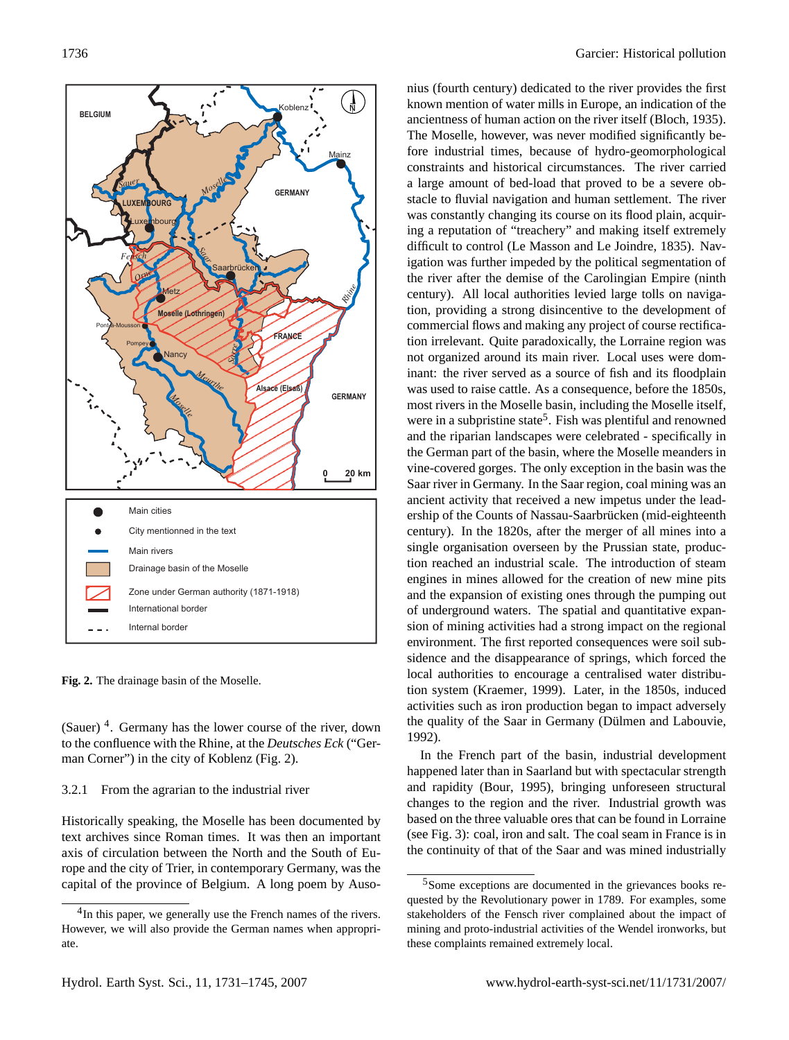

<span id="page-5-1"></span>**Fig. 2.** The drainage basin of the Moselle.

(Sauer) [4](#page-5-0) . Germany has the lower course of the river, down to the confluence with the Rhine, at the *Deutsches Eck* ("German Corner") in the city of Koblenz (Fig. [2\)](#page-5-1).

### 3.2.1 From the agrarian to the industrial river

Historically speaking, the Moselle has been documented by text archives since Roman times. It was then an important axis of circulation between the North and the South of Europe and the city of Trier, in contemporary Germany, was the capital of the province of Belgium. A long poem by Ausonius (fourth century) dedicated to the river provides the first known mention of water mills in Europe, an indication of the ancientness of human action on the river itself [\(Bloch,](#page-13-19) [1935\)](#page-13-19). The Moselle, however, was never modified significantly before industrial times, because of hydro-geomorphological constraints and historical circumstances. The river carried a large amount of bed-load that proved to be a severe obstacle to fluvial navigation and human settlement. The river was constantly changing its course on its flood plain, acquiring a reputation of "treachery" and making itself extremely difficult to control [\(Le Masson and Le Joindre,](#page-14-18) [1835\)](#page-14-18). Navigation was further impeded by the political segmentation of the river after the demise of the Carolingian Empire (ninth century). All local authorities levied large tolls on navigation, providing a strong disincentive to the development of commercial flows and making any project of course rectification irrelevant. Quite paradoxically, the Lorraine region was not organized around its main river. Local uses were dominant: the river served as a source of fish and its floodplain was used to raise cattle. As a consequence, before the 1850s, most rivers in the Moselle basin, including the Moselle itself, were in a subpristine state<sup>[5](#page-5-2)</sup>. Fish was plentiful and renowned and the riparian landscapes were celebrated - specifically in the German part of the basin, where the Moselle meanders in vine-covered gorges. The only exception in the basin was the Saar river in Germany. In the Saar region, coal mining was an ancient activity that received a new impetus under the leadership of the Counts of Nassau-Saarbrücken (mid-eighteenth century). In the 1820s, after the merger of all mines into a single organisation overseen by the Prussian state, production reached an industrial scale. The introduction of steam engines in mines allowed for the creation of new mine pits and the expansion of existing ones through the pumping out of underground waters. The spatial and quantitative expansion of mining activities had a strong impact on the regional environment. The first reported consequences were soil subsidence and the disappearance of springs, which forced the local authorities to encourage a centralised water distribution system [\(Kraemer,](#page-14-19) [1999\)](#page-14-19). Later, in the 1850s, induced activities such as iron production began to impact adversely the quality of the Saar in Germany (Dülmen and Labouvie, [1992\)](#page-13-20).

In the French part of the basin, industrial development happened later than in Saarland but with spectacular strength and rapidity [\(Bour,](#page-13-21) [1995\)](#page-13-21), bringing unforeseen structural changes to the region and the river. Industrial growth was based on the three valuable ores that can be found in Lorraine (see Fig. [3\)](#page-6-0): coal, iron and salt. The coal seam in France is in the continuity of that of the Saar and was mined industrially

<span id="page-5-0"></span><sup>&</sup>lt;sup>4</sup>In this paper, we generally use the French names of the rivers. However, we will also provide the German names when appropriate.

<span id="page-5-2"></span><sup>5</sup>Some exceptions are documented in the grievances books requested by the Revolutionary power in 1789. For examples, some stakeholders of the Fensch river complained about the impact of mining and proto-industrial activities of the Wendel ironworks, but these complaints remained extremely local.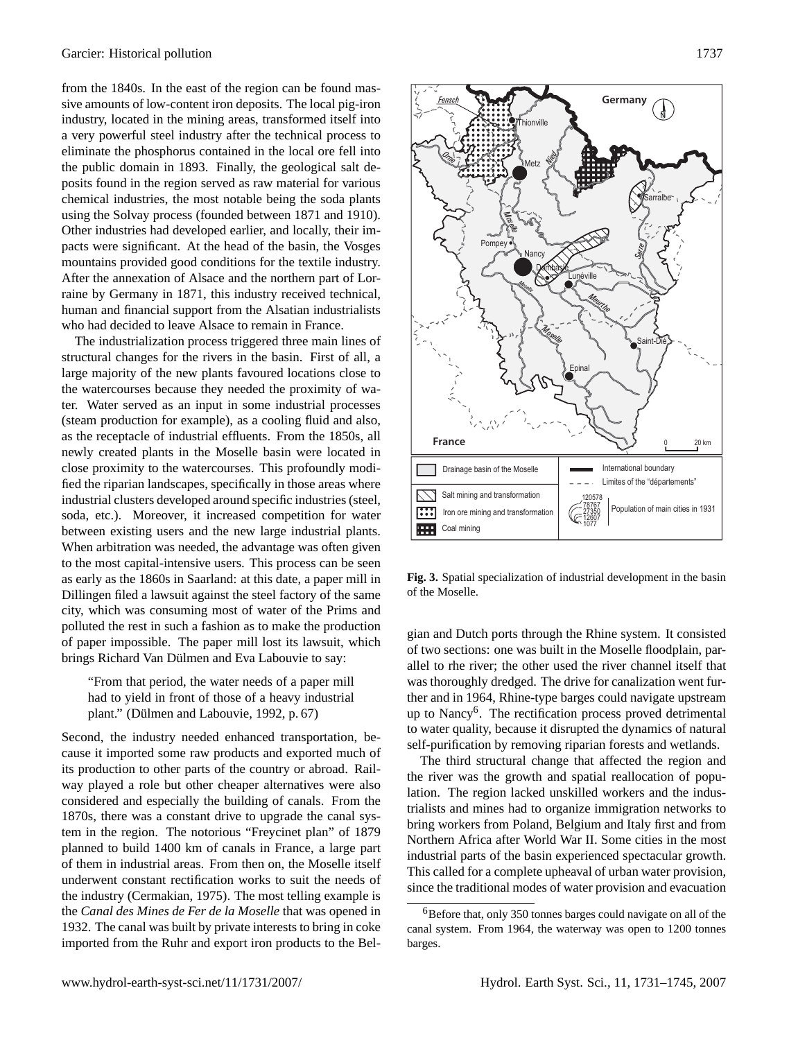from the 1840s. In the east of the region can be found massive amounts of low-content iron deposits. The local pig-iron industry, located in the mining areas, transformed itself into a very powerful steel industry after the technical process to eliminate the phosphorus contained in the local ore fell into the public domain in 1893. Finally, the geological salt deposits found in the region served as raw material for various chemical industries, the most notable being the soda plants using the Solvay process (founded between 1871 and 1910). Other industries had developed earlier, and locally, their impacts were significant. At the head of the basin, the Vosges mountains provided good conditions for the textile industry. After the annexation of Alsace and the northern part of Lorraine by Germany in 1871, this industry received technical, human and financial support from the Alsatian industrialists who had decided to leave Alsace to remain in France.

The industrialization process triggered three main lines of structural changes for the rivers in the basin. First of all, a large majority of the new plants favoured locations close to the watercourses because they needed the proximity of water. Water served as an input in some industrial processes (steam production for example), as a cooling fluid and also, as the receptacle of industrial effluents. From the 1850s, all newly created plants in the Moselle basin were located in close proximity to the watercourses. This profoundly modified the riparian landscapes, specifically in those areas where industrial clusters developed around specific industries (steel, soda, etc.). Moreover, it increased competition for water between existing users and the new large industrial plants. When arbitration was needed, the advantage was often given to the most capital-intensive users. This process can be seen as early as the 1860s in Saarland: at this date, a paper mill in Dillingen filed a lawsuit against the steel factory of the same city, which was consuming most of water of the Prims and polluted the rest in such a fashion as to make the production of paper impossible. The paper mill lost its lawsuit, which brings Richard Van Dülmen and Eva Labouvie to say:

"From that period, the water needs of a paper mill had to yield in front of those of a heavy industrial plant." (Dülmen and Labouvie, [1992,](#page-13-20) p. 67)

Second, the industry needed enhanced transportation, because it imported some raw products and exported much of its production to other parts of the country or abroad. Railway played a role but other cheaper alternatives were also considered and especially the building of canals. From the 1870s, there was a constant drive to upgrade the canal system in the region. The notorious "Freycinet plan" of 1879 planned to build 1400 km of canals in France, a large part of them in industrial areas. From then on, the Moselle itself underwent constant rectification works to suit the needs of the industry [\(Cermakian,](#page-13-22) [1975\)](#page-13-22). The most telling example is the *Canal des Mines de Fer de la Moselle* that was opened in 1932. The canal was built by private interests to bring in coke imported from the Ruhr and export iron products to the Bel-



<span id="page-6-0"></span>**Fig. 3.** Spatial specialization of industrial development in the basin of the Moselle.

gian and Dutch ports through the Rhine system. It consisted of two sections: one was built in the Moselle floodplain, parallel to rhe river; the other used the river channel itself that was thoroughly dredged. The drive for canalization went further and in 1964, Rhine-type barges could navigate upstream up to Nancy<sup>[6](#page-6-1)</sup>. The rectification process proved detrimental to water quality, because it disrupted the dynamics of natural self-purification by removing riparian forests and wetlands.

The third structural change that affected the region and the river was the growth and spatial reallocation of population. The region lacked unskilled workers and the industrialists and mines had to organize immigration networks to bring workers from Poland, Belgium and Italy first and from Northern Africa after World War II. Some cities in the most industrial parts of the basin experienced spectacular growth. This called for a complete upheaval of urban water provision, since the traditional modes of water provision and evacuation

<span id="page-6-1"></span><sup>6</sup>Before that, only 350 tonnes barges could navigate on all of the canal system. From 1964, the waterway was open to 1200 tonnes barges.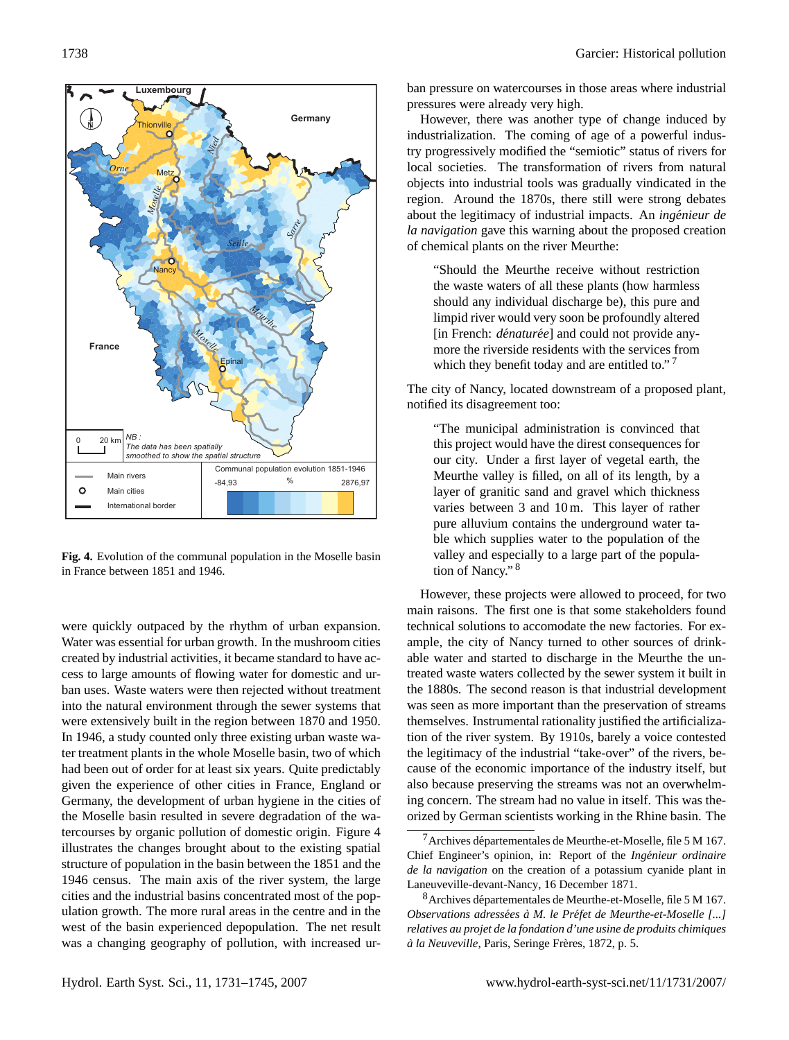

<span id="page-7-0"></span>**Fig. 4.** Evolution of the communal population in the Moselle basin in France between 1851 and 1946.

were quickly outpaced by the rhythm of urban expansion. Water was essential for urban growth. In the mushroom cities created by industrial activities, it became standard to have access to large amounts of flowing water for domestic and urban uses. Waste waters were then rejected without treatment into the natural environment through the sewer systems that were extensively built in the region between 1870 and 1950. In 1946, a study counted only three existing urban waste water treatment plants in the whole Moselle basin, two of which had been out of order for at least six years. Quite predictably given the experience of other cities in France, England or Germany, the development of urban hygiene in the cities of the Moselle basin resulted in severe degradation of the watercourses by organic pollution of domestic origin. Figure [4](#page-7-0) illustrates the changes brought about to the existing spatial structure of population in the basin between the 1851 and the 1946 census. The main axis of the river system, the large cities and the industrial basins concentrated most of the population growth. The more rural areas in the centre and in the west of the basin experienced depopulation. The net result was a changing geography of pollution, with increased urban pressure on watercourses in those areas where industrial pressures were already very high.

However, there was another type of change induced by industrialization. The coming of age of a powerful industry progressively modified the "semiotic" status of rivers for local societies. The transformation of rivers from natural objects into industrial tools was gradually vindicated in the region. Around the 1870s, there still were strong debates about the legitimacy of industrial impacts. An *ingenieur de ´ la navigation* gave this warning about the proposed creation of chemical plants on the river Meurthe:

"Should the Meurthe receive without restriction the waste waters of all these plants (how harmless should any individual discharge be), this pure and limpid river would very soon be profoundly altered [in French: *dénaturée*] and could not provide anymore the riverside residents with the services from which they benefit today and are entitled to."<sup>[7](#page-7-1)</sup>

The city of Nancy, located downstream of a proposed plant, notified its disagreement too:

"The municipal administration is convinced that this project would have the direst consequences for our city. Under a first layer of vegetal earth, the Meurthe valley is filled, on all of its length, by a layer of granitic sand and gravel which thickness varies between 3 and 10 m. This layer of rather pure alluvium contains the underground water table which supplies water to the population of the valley and especially to a large part of the population of Nancy." [8](#page-7-2)

However, these projects were allowed to proceed, for two main raisons. The first one is that some stakeholders found technical solutions to accomodate the new factories. For example, the city of Nancy turned to other sources of drinkable water and started to discharge in the Meurthe the untreated waste waters collected by the sewer system it built in the 1880s. The second reason is that industrial development was seen as more important than the preservation of streams themselves. Instrumental rationality justified the artificialization of the river system. By 1910s, barely a voice contested the legitimacy of the industrial "take-over" of the rivers, because of the economic importance of the industry itself, but also because preserving the streams was not an overwhelming concern. The stream had no value in itself. This was theorized by German scientists working in the Rhine basin. The

<span id="page-7-1"></span> $7$ Archives départementales de Meurthe-et-Moselle, file 5 M 167. Chief Engineer's opinion, in: Report of the *Ingenieur ordinaire ´ de la navigation* on the creation of a potassium cyanide plant in Laneuveville-devant-Nancy, 16 December 1871.

<span id="page-7-2"></span><sup>8</sup>Archives departementales de Meurthe-et-Moselle, file 5 M 167. ´ *Observations adressees ´ a M. le Pr ` efet de Meurthe-et-Moselle [...] ´ relatives au projet de la fondation d'une usine de produits chimiques*  $\grave{a}$  la Neuveville, Paris, Seringe Frères, 1872, p. 5.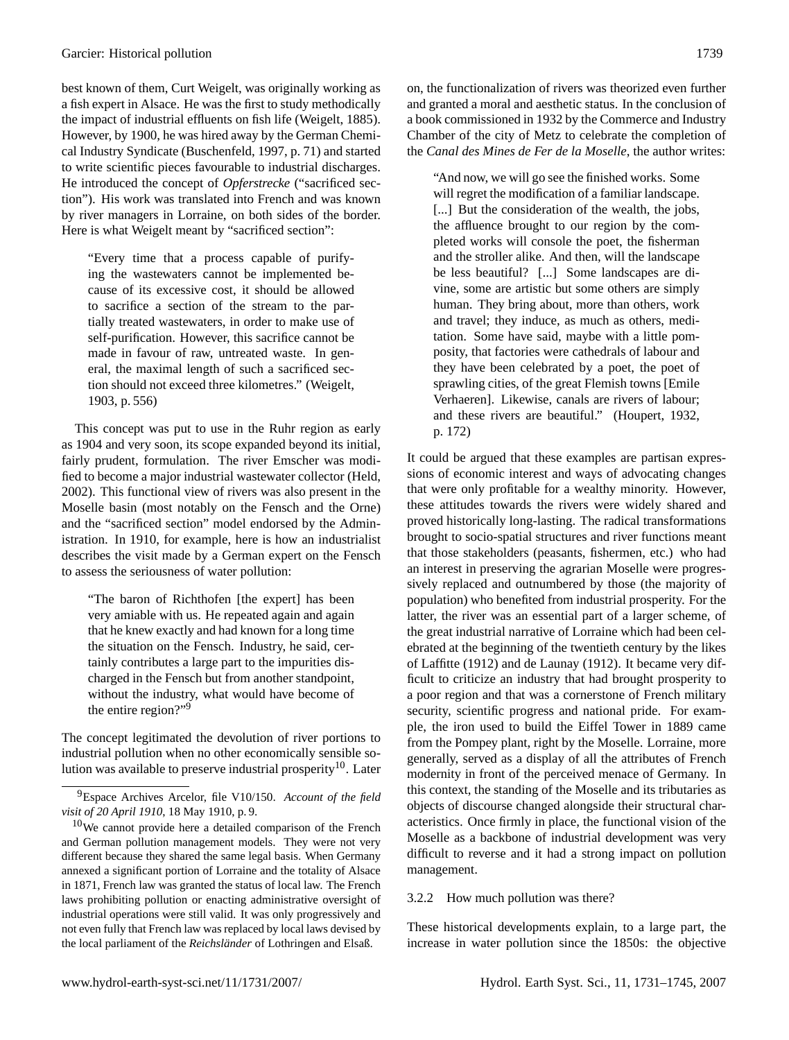best known of them, Curt Weigelt, was originally working as a fish expert in Alsace. He was the first to study methodically the impact of industrial effluents on fish life [\(Weigelt,](#page-14-20) [1885\)](#page-14-20). However, by 1900, he was hired away by the German Chemical Industry Syndicate [\(Buschenfeld,](#page-13-23) [1997,](#page-13-23) p. 71) and started to write scientific pieces favourable to industrial discharges. He introduced the concept of *Opferstrecke* ("sacrificed section"). His work was translated into French and was known by river managers in Lorraine, on both sides of the border. Here is what Weigelt meant by "sacrificed section":

"Every time that a process capable of purifying the wastewaters cannot be implemented because of its excessive cost, it should be allowed to sacrifice a section of the stream to the partially treated wastewaters, in order to make use of self-purification. However, this sacrifice cannot be made in favour of raw, untreated waste. In general, the maximal length of such a sacrificed section should not exceed three kilometres." [\(Weigelt,](#page-14-21) [1903,](#page-14-21) p. 556)

This concept was put to use in the Ruhr region as early as 1904 and very soon, its scope expanded beyond its initial, fairly prudent, formulation. The river Emscher was modified to become a major industrial wastewater collector [\(Held,](#page-14-22) [2002\)](#page-14-22). This functional view of rivers was also present in the Moselle basin (most notably on the Fensch and the Orne) and the "sacrificed section" model endorsed by the Administration. In 1910, for example, here is how an industrialist describes the visit made by a German expert on the Fensch to assess the seriousness of water pollution:

"The baron of Richthofen [the expert] has been very amiable with us. He repeated again and again that he knew exactly and had known for a long time the situation on the Fensch. Industry, he said, certainly contributes a large part to the impurities discharged in the Fensch but from another standpoint, without the industry, what would have become of the entire region?"[9](#page-8-0)

The concept legitimated the devolution of river portions to industrial pollution when no other economically sensible so-lution was available to preserve industrial prosperity<sup>[10](#page-8-1)</sup>. Later on, the functionalization of rivers was theorized even further and granted a moral and aesthetic status. In the conclusion of a book commissioned in 1932 by the Commerce and Industry Chamber of the city of Metz to celebrate the completion of the *Canal des Mines de Fer de la Moselle*, the author writes:

"And now, we will go see the finished works. Some will regret the modification of a familiar landscape. [...] But the consideration of the wealth, the jobs, the affluence brought to our region by the completed works will console the poet, the fisherman and the stroller alike. And then, will the landscape be less beautiful? [...] Some landscapes are divine, some are artistic but some others are simply human. They bring about, more than others, work and travel; they induce, as much as others, meditation. Some have said, maybe with a little pomposity, that factories were cathedrals of labour and they have been celebrated by a poet, the poet of sprawling cities, of the great Flemish towns [Emile Verhaeren]. Likewise, canals are rivers of labour; and these rivers are beautiful." [\(Houpert,](#page-14-23) [1932,](#page-14-23) p. 172)

It could be argued that these examples are partisan expressions of economic interest and ways of advocating changes that were only profitable for a wealthy minority. However, these attitudes towards the rivers were widely shared and proved historically long-lasting. The radical transformations brought to socio-spatial structures and river functions meant that those stakeholders (peasants, fishermen, etc.) who had an interest in preserving the agrarian Moselle were progressively replaced and outnumbered by those (the majority of population) who benefited from industrial prosperity. For the latter, the river was an essential part of a larger scheme, of the great industrial narrative of Lorraine which had been celebrated at the beginning of the twentieth century by the likes of [Laffitte](#page-14-24) [\(1912\)](#page-14-24) and [de Launay](#page-13-24) [\(1912\)](#page-13-24). It became very difficult to criticize an industry that had brought prosperity to a poor region and that was a cornerstone of French military security, scientific progress and national pride. For example, the iron used to build the Eiffel Tower in 1889 came from the Pompey plant, right by the Moselle. Lorraine, more generally, served as a display of all the attributes of French modernity in front of the perceived menace of Germany. In this context, the standing of the Moselle and its tributaries as objects of discourse changed alongside their structural characteristics. Once firmly in place, the functional vision of the Moselle as a backbone of industrial development was very difficult to reverse and it had a strong impact on pollution management.

### 3.2.2 How much pollution was there?

These historical developments explain, to a large part, the increase in water pollution since the 1850s: the objective

<span id="page-8-0"></span><sup>9</sup>Espace Archives Arcelor, file V10/150. *Account of the field visit of 20 April 1910*, 18 May 1910, p. 9.

<span id="page-8-1"></span><sup>&</sup>lt;sup>10</sup>We cannot provide here a detailed comparison of the French and German pollution management models. They were not very different because they shared the same legal basis. When Germany annexed a significant portion of Lorraine and the totality of Alsace in 1871, French law was granted the status of local law. The French laws prohibiting pollution or enacting administrative oversight of industrial operations were still valid. It was only progressively and not even fully that French law was replaced by local laws devised by the local parliament of the *Reichsländer* of Lothringen and Elsaß.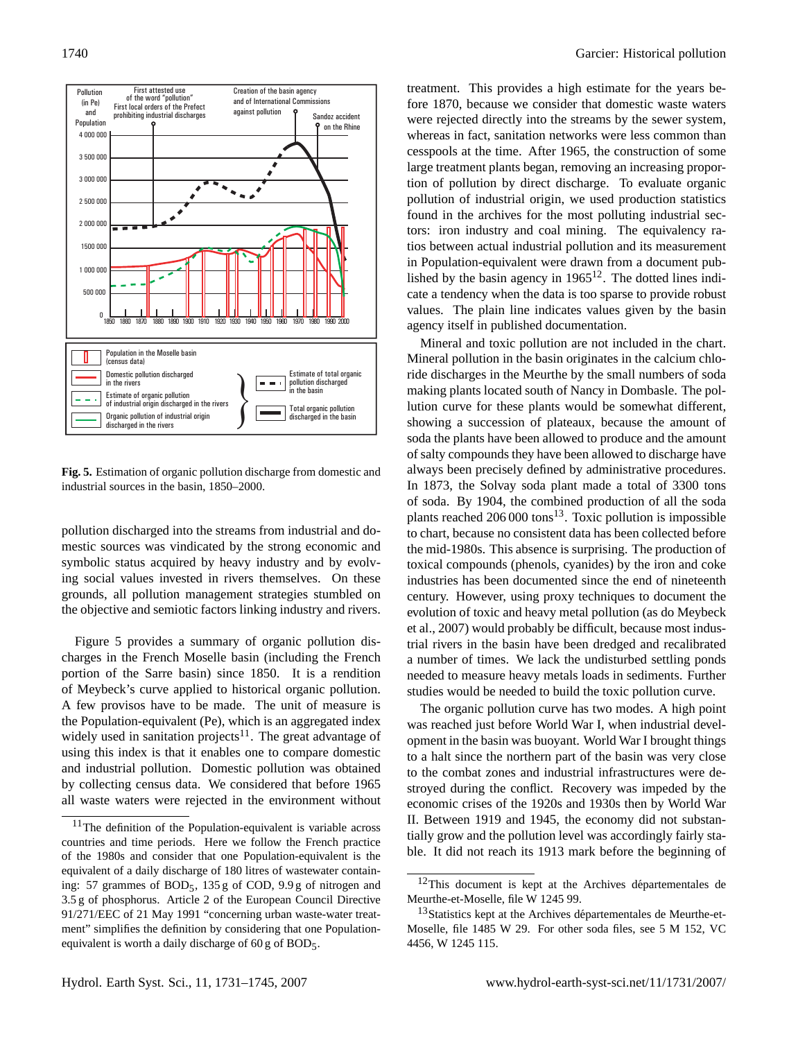![](_page_9_Figure_1.jpeg)

<span id="page-9-0"></span>**Fig. 5.** Estimation of organic pollution discharge from domestic and industrial sources in the basin, 1850–2000.

pollution discharged into the streams from industrial and domestic sources was vindicated by the strong economic and symbolic status acquired by heavy industry and by evolving social values invested in rivers themselves. On these grounds, all pollution management strategies stumbled on the objective and semiotic factors linking industry and rivers.

Figure [5](#page-9-0) provides a summary of organic pollution discharges in the French Moselle basin (including the French portion of the Sarre basin) since 1850. It is a rendition of Meybeck's curve applied to historical organic pollution. A few provisos have to be made. The unit of measure is the Population-equivalent (Pe), which is an aggregated index widely used in sanitation projects<sup>[11](#page-9-1)</sup>. The great advantage of using this index is that it enables one to compare domestic and industrial pollution. Domestic pollution was obtained by collecting census data. We considered that before 1965 all waste waters were rejected in the environment without treatment. This provides a high estimate for the years before 1870, because we consider that domestic waste waters were rejected directly into the streams by the sewer system, whereas in fact, sanitation networks were less common than cesspools at the time. After 1965, the construction of some large treatment plants began, removing an increasing proportion of pollution by direct discharge. To evaluate organic pollution of industrial origin, we used production statistics found in the archives for the most polluting industrial sectors: iron industry and coal mining. The equivalency ratios between actual industrial pollution and its measurement in Population-equivalent were drawn from a document published by the basin agency in  $1965^{12}$  $1965^{12}$  $1965^{12}$ . The dotted lines indicate a tendency when the data is too sparse to provide robust values. The plain line indicates values given by the basin agency itself in published documentation.

Mineral and toxic pollution are not included in the chart. Mineral pollution in the basin originates in the calcium chloride discharges in the Meurthe by the small numbers of soda making plants located south of Nancy in Dombasle. The pollution curve for these plants would be somewhat different, showing a succession of plateaux, because the amount of soda the plants have been allowed to produce and the amount of salty compounds they have been allowed to discharge have always been precisely defined by administrative procedures. In 1873, the Solvay soda plant made a total of 3300 tons of soda. By 1904, the combined production of all the soda plants reached  $206\,000$  tons<sup>[13](#page-9-3)</sup>. Toxic pollution is impossible to chart, because no consistent data has been collected before the mid-1980s. This absence is surprising. The production of toxical compounds (phenols, cyanides) by the iron and coke industries has been documented since the end of nineteenth century. However, using proxy techniques to document the evolution of toxic and heavy metal pollution (as do [Meybeck](#page-14-3) [et al.,](#page-14-3) [2007\)](#page-14-3) would probably be difficult, because most industrial rivers in the basin have been dredged and recalibrated a number of times. We lack the undisturbed settling ponds needed to measure heavy metals loads in sediments. Further studies would be needed to build the toxic pollution curve.

The organic pollution curve has two modes. A high point was reached just before World War I, when industrial development in the basin was buoyant. World War I brought things to a halt since the northern part of the basin was very close to the combat zones and industrial infrastructures were destroyed during the conflict. Recovery was impeded by the economic crises of the 1920s and 1930s then by World War II. Between 1919 and 1945, the economy did not substantially grow and the pollution level was accordingly fairly stable. It did not reach its 1913 mark before the beginning of

<span id="page-9-1"></span><sup>&</sup>lt;sup>11</sup>The definition of the Population-equivalent is variable across countries and time periods. Here we follow the French practice of the 1980s and consider that one Population-equivalent is the equivalent of a daily discharge of 180 litres of wastewater containing: 57 grammes of BOD5, 135 g of COD, 9.9 g of nitrogen and 3.5 g of phosphorus. Article 2 of the European Council Directive 91/271/EEC of 21 May 1991 "concerning urban waste-water treatment" simplifies the definition by considering that one Populationequivalent is worth a daily discharge of 60 g of BOD5.

<span id="page-9-2"></span> $12$ This document is kept at the Archives départementales de Meurthe-et-Moselle, file W 1245 99.

<span id="page-9-3"></span> $13$ Statistics kept at the Archives départementales de Meurthe-et-Moselle, file 1485 W 29. For other soda files, see 5 M 152, VC 4456, W 1245 115.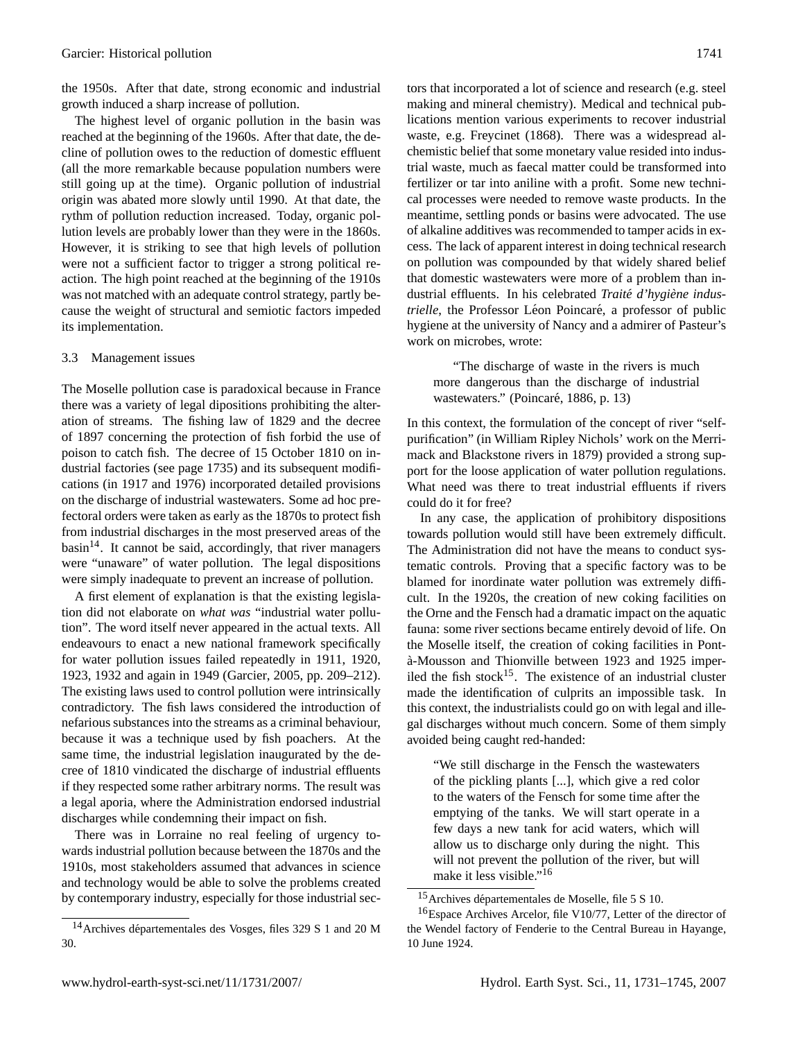the 1950s. After that date, strong economic and industrial growth induced a sharp increase of pollution.

The highest level of organic pollution in the basin was reached at the beginning of the 1960s. After that date, the decline of pollution owes to the reduction of domestic effluent (all the more remarkable because population numbers were still going up at the time). Organic pollution of industrial origin was abated more slowly until 1990. At that date, the rythm of pollution reduction increased. Today, organic pollution levels are probably lower than they were in the 1860s. However, it is striking to see that high levels of pollution were not a sufficient factor to trigger a strong political reaction. The high point reached at the beginning of the 1910s was not matched with an adequate control strategy, partly because the weight of structural and semiotic factors impeded its implementation.

### 3.3 Management issues

The Moselle pollution case is paradoxical because in France there was a variety of legal dipositions prohibiting the alteration of streams. The fishing law of 1829 and the decree of 1897 concerning the protection of fish forbid the use of poison to catch fish. The decree of 15 October 1810 on industrial factories (see page [1735\)](#page-3-1) and its subsequent modifications (in 1917 and 1976) incorporated detailed provisions on the discharge of industrial wastewaters. Some ad hoc prefectoral orders were taken as early as the 1870s to protect fish from industrial discharges in the most preserved areas of the  $basin<sup>14</sup>$  $basin<sup>14</sup>$  $basin<sup>14</sup>$ . It cannot be said, accordingly, that river managers were "unaware" of water pollution. The legal dispositions were simply inadequate to prevent an increase of pollution.

A first element of explanation is that the existing legislation did not elaborate on *what was* "industrial water pollution". The word itself never appeared in the actual texts. All endeavours to enact a new national framework specifically for water pollution issues failed repeatedly in 1911, 1920, 1923, 1932 and again in 1949 [\(Garcier,](#page-13-2) [2005,](#page-13-2) pp. 209–212). The existing laws used to control pollution were intrinsically contradictory. The fish laws considered the introduction of nefarious substances into the streams as a criminal behaviour, because it was a technique used by fish poachers. At the same time, the industrial legislation inaugurated by the decree of 1810 vindicated the discharge of industrial effluents if they respected some rather arbitrary norms. The result was a legal aporia, where the Administration endorsed industrial discharges while condemning their impact on fish.

There was in Lorraine no real feeling of urgency towards industrial pollution because between the 1870s and the 1910s, most stakeholders assumed that advances in science and technology would be able to solve the problems created by contemporary industry, especially for those industrial sectors that incorporated a lot of science and research (e.g. steel making and mineral chemistry). Medical and technical publications mention various experiments to recover industrial waste, e.g. [Freycinet](#page-13-25) [\(1868\)](#page-13-25). There was a widespread alchemistic belief that some monetary value resided into industrial waste, much as faecal matter could be transformed into fertilizer or tar into aniline with a profit. Some new technical processes were needed to remove waste products. In the meantime, settling ponds or basins were advocated. The use of alkaline additives was recommended to tamper acids in excess. The lack of apparent interest in doing technical research on pollution was compounded by that widely shared belief that domestic wastewaters were more of a problem than industrial effluents. In his celebrated *Traité d'hygiène industrielle*, the Professor Léon Poincaré, a professor of public hygiene at the university of Nancy and a admirer of Pasteur's work on microbes, wrote:

"The discharge of waste in the rivers is much more dangerous than the discharge of industrial wastewaters." (Poincaré, [1886,](#page-14-25) p. 13)

In this context, the formulation of the concept of river "selfpurification" (in William Ripley Nichols' work on the Merrimack and Blackstone rivers in 1879) provided a strong support for the loose application of water pollution regulations. What need was there to treat industrial effluents if rivers could do it for free?

In any case, the application of prohibitory dispositions towards pollution would still have been extremely difficult. The Administration did not have the means to conduct systematic controls. Proving that a specific factory was to be blamed for inordinate water pollution was extremely difficult. In the 1920s, the creation of new coking facilities on the Orne and the Fensch had a dramatic impact on the aquatic fauna: some river sections became entirely devoid of life. On the Moselle itself, the creation of coking facilities in Ponta-Mousson and Thionville between 1923 and 1925 imper- ` iled the fish stock<sup>[15](#page-10-1)</sup>. The existence of an industrial cluster made the identification of culprits an impossible task. In this context, the industrialists could go on with legal and illegal discharges without much concern. Some of them simply avoided being caught red-handed:

"We still discharge in the Fensch the wastewaters of the pickling plants [...], which give a red color to the waters of the Fensch for some time after the emptying of the tanks. We will start operate in a few days a new tank for acid waters, which will allow us to discharge only during the night. This will not prevent the pollution of the river, but will make it less visible."<sup>[16](#page-10-2)</sup>

<span id="page-10-0"></span> $14$ Archives départementales des Vosges, files 329 S 1 and 20 M 30.

<span id="page-10-2"></span><span id="page-10-1"></span><sup>&</sup>lt;sup>15</sup>Archives départementales de Moselle, file 5 S 10.

<sup>16</sup>Espace Archives Arcelor, file V10/77, Letter of the director of the Wendel factory of Fenderie to the Central Bureau in Hayange, 10 June 1924.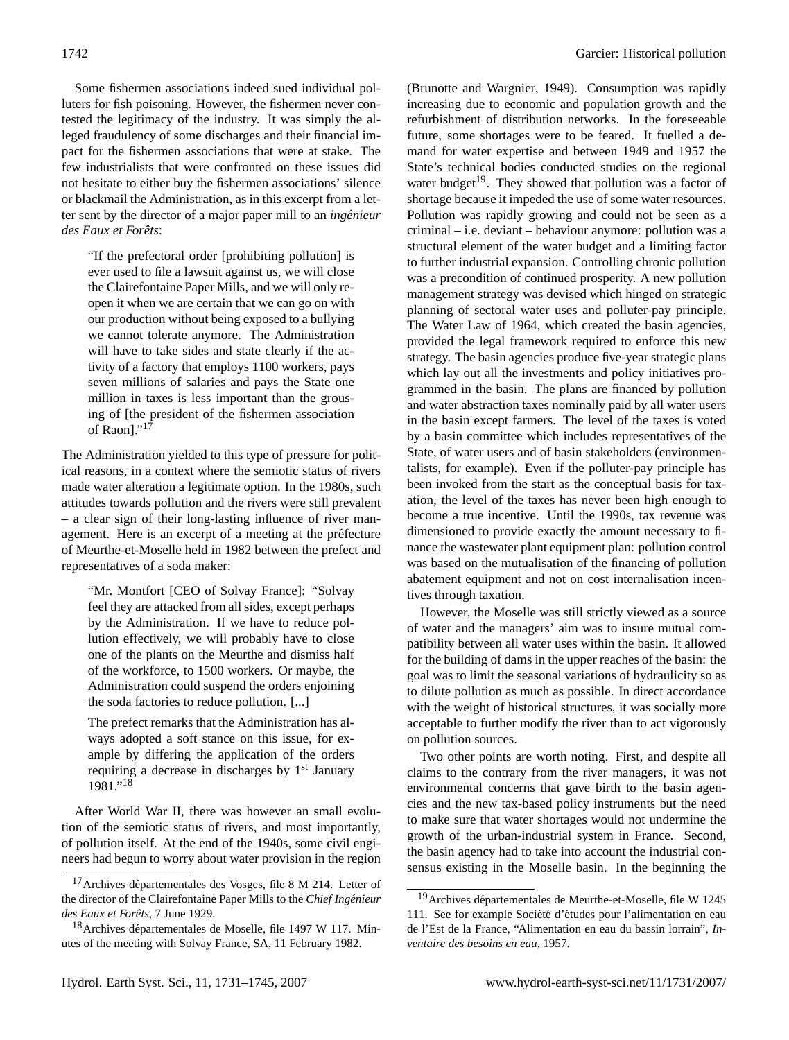Some fishermen associations indeed sued individual polluters for fish poisoning. However, the fishermen never contested the legitimacy of the industry. It was simply the alleged fraudulency of some discharges and their financial impact for the fishermen associations that were at stake. The few industrialists that were confronted on these issues did not hesitate to either buy the fishermen associations' silence or blackmail the Administration, as in this excerpt from a letter sent by the director of a major paper mill to an *ingenieur ´*  $des$  *Eaux et Forêts*:

"If the prefectoral order [prohibiting pollution] is ever used to file a lawsuit against us, we will close the Clairefontaine Paper Mills, and we will only reopen it when we are certain that we can go on with our production without being exposed to a bullying we cannot tolerate anymore. The Administration will have to take sides and state clearly if the activity of a factory that employs 1100 workers, pays seven millions of salaries and pays the State one million in taxes is less important than the grousing of [the president of the fishermen association of Raon]."<sup>[17](#page-11-0)</sup>

The Administration yielded to this type of pressure for political reasons, in a context where the semiotic status of rivers made water alteration a legitimate option. In the 1980s, such attitudes towards pollution and the rivers were still prevalent – a clear sign of their long-lasting influence of river management. Here is an excerpt of a meeting at the préfecture of Meurthe-et-Moselle held in 1982 between the prefect and representatives of a soda maker:

"Mr. Montfort [CEO of Solvay France]: "Solvay feel they are attacked from all sides, except perhaps by the Administration. If we have to reduce pollution effectively, we will probably have to close one of the plants on the Meurthe and dismiss half of the workforce, to 1500 workers. Or maybe, the Administration could suspend the orders enjoining the soda factories to reduce pollution. [...]

The prefect remarks that the Administration has always adopted a soft stance on this issue, for example by differing the application of the orders requiring a decrease in discharges by 1<sup>st</sup> January 1981."[18](#page-11-1)

After World War II, there was however an small evolution of the semiotic status of rivers, and most importantly, of pollution itself. At the end of the 1940s, some civil engineers had begun to worry about water provision in the region [\(Brunotte and Wargnier,](#page-13-26) [1949\)](#page-13-26). Consumption was rapidly increasing due to economic and population growth and the refurbishment of distribution networks. In the foreseeable future, some shortages were to be feared. It fuelled a demand for water expertise and between 1949 and 1957 the State's technical bodies conducted studies on the regional water budget<sup>[19](#page-11-2)</sup>. They showed that pollution was a factor of shortage because it impeded the use of some water resources. Pollution was rapidly growing and could not be seen as a criminal – i.e. deviant – behaviour anymore: pollution was a structural element of the water budget and a limiting factor to further industrial expansion. Controlling chronic pollution was a precondition of continued prosperity. A new pollution management strategy was devised which hinged on strategic planning of sectoral water uses and polluter-pay principle. The Water Law of 1964, which created the basin agencies, provided the legal framework required to enforce this new strategy. The basin agencies produce five-year strategic plans which lay out all the investments and policy initiatives programmed in the basin. The plans are financed by pollution and water abstraction taxes nominally paid by all water users in the basin except farmers. The level of the taxes is voted by a basin committee which includes representatives of the State, of water users and of basin stakeholders (environmentalists, for example). Even if the polluter-pay principle has been invoked from the start as the conceptual basis for taxation, the level of the taxes has never been high enough to become a true incentive. Until the 1990s, tax revenue was dimensioned to provide exactly the amount necessary to finance the wastewater plant equipment plan: pollution control was based on the mutualisation of the financing of pollution abatement equipment and not on cost internalisation incentives through taxation.

However, the Moselle was still strictly viewed as a source of water and the managers' aim was to insure mutual compatibility between all water uses within the basin. It allowed for the building of dams in the upper reaches of the basin: the goal was to limit the seasonal variations of hydraulicity so as to dilute pollution as much as possible. In direct accordance with the weight of historical structures, it was socially more acceptable to further modify the river than to act vigorously on pollution sources.

Two other points are worth noting. First, and despite all claims to the contrary from the river managers, it was not environmental concerns that gave birth to the basin agencies and the new tax-based policy instruments but the need to make sure that water shortages would not undermine the growth of the urban-industrial system in France. Second, the basin agency had to take into account the industrial consensus existing in the Moselle basin. In the beginning the

<span id="page-11-0"></span> $17$ Archives départementales des Vosges, file 8 M 214. Letter of the director of the Clairefontaine Paper Mills to the *Chief Ingenieur ´ des Eaux et Forets ˆ* , 7 June 1929.

<span id="page-11-1"></span> $18$ Archives départementales de Moselle, file 1497 W 117. Minutes of the meeting with Solvay France, SA, 11 February 1982.

<span id="page-11-2"></span> $19$ Archives départementales de Meurthe-et-Moselle, file W 1245 111. See for example Société d'études pour l'alimentation en eau de l'Est de la France, "Alimentation en eau du bassin lorrain", *Inventaire des besoins en eau*, 1957.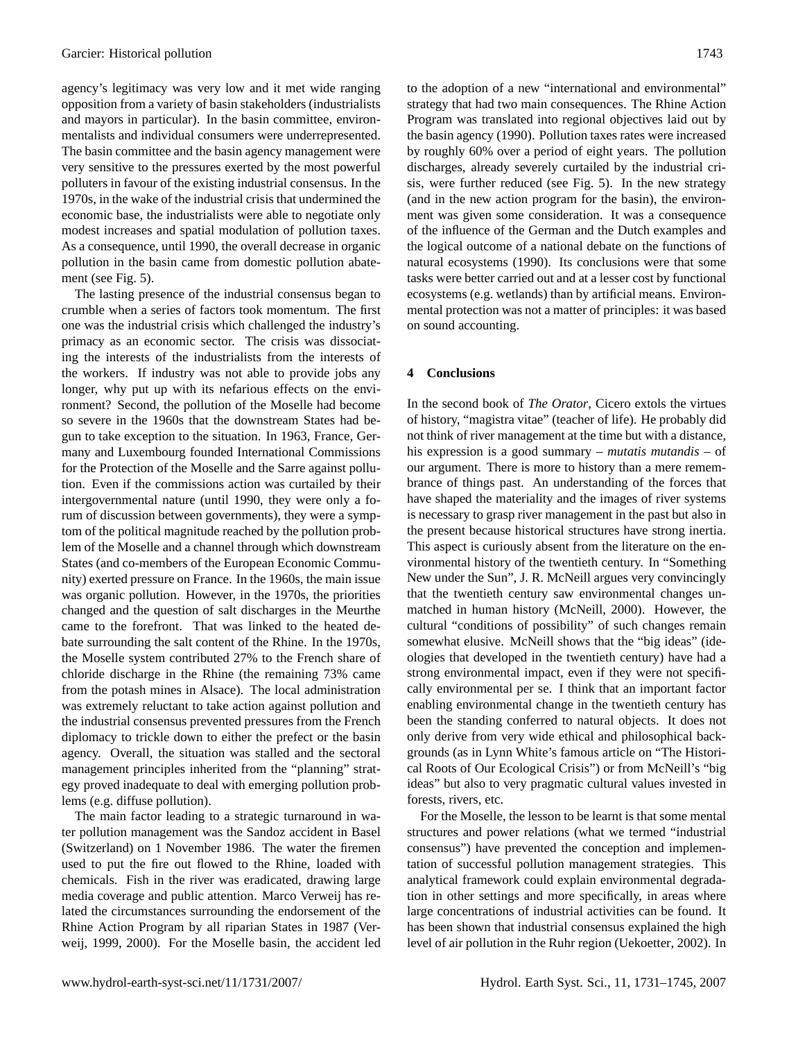agency's legitimacy was very low and it met wide ranging opposition from a variety of basin stakeholders (industrialists and mayors in particular). In the basin committee, environmentalists and individual consumers were underrepresented. The basin committee and the basin agency management were very sensitive to the pressures exerted by the most powerful polluters in favour of the existing industrial consensus. In the 1970s, in the wake of the industrial crisis that undermined the economic base, the industrialists were able to negotiate only modest increases and spatial modulation of pollution taxes. As a consequence, until 1990, the overall decrease in organic pollution in the basin came from domestic pollution abatement (see Fig. [5\)](#page-9-0).

The lasting presence of the industrial consensus began to crumble when a series of factors took momentum. The first one was the industrial crisis which challenged the industry's primacy as an economic sector. The crisis was dissociating the interests of the industrialists from the interests of the workers. If industry was not able to provide jobs any longer, why put up with its nefarious effects on the environment? Second, the pollution of the Moselle had become so severe in the 1960s that the downstream States had begun to take exception to the situation. In 1963, France, Germany and Luxembourg founded International Commissions for the Protection of the Moselle and the Sarre against pollution. Even if the commissions action was curtailed by their intergovernmental nature (until 1990, they were only a forum of discussion between governments), they were a symptom of the political magnitude reached by the pollution problem of the Moselle and a channel through which downstream States (and co-members of the European Economic Community) exerted pressure on France. In the 1960s, the main issue was organic pollution. However, in the 1970s, the priorities changed and the question of salt discharges in the Meurthe came to the forefront. That was linked to the heated debate surrounding the salt content of the Rhine. In the 1970s, the Moselle system contributed 27% to the French share of chloride discharge in the Rhine (the remaining 73% came from the potash mines in Alsace). The local administration was extremely reluctant to take action against pollution and the industrial consensus prevented pressures from the French diplomacy to trickle down to either the prefect or the basin agency. Overall, the situation was stalled and the sectoral management principles inherited from the "planning" strategy proved inadequate to deal with emerging pollution problems (e.g. diffuse pollution).

The main factor leading to a strategic turnaround in water pollution management was the Sandoz accident in Basel (Switzerland) on 1 November 1986. The water the firemen used to put the fire out flowed to the Rhine, loaded with chemicals. Fish in the river was eradicated, drawing large media coverage and public attention. Marco Verweij has related the circumstances surrounding the endorsement of the Rhine Action Program by all riparian States in 1987 [\(Ver](#page-14-26)[weij,](#page-14-26) [1999,](#page-14-26) [2000\)](#page-14-27). For the Moselle basin, the accident led

to the adoption of a new "international and environmental" strategy that had two main consequences. The Rhine Action Program was translated into regional objectives laid out by the basin agency (1990). Pollution taxes rates were increased by roughly 60% over a period of eight years. The pollution discharges, already severely curtailed by the industrial crisis, were further reduced (see Fig. [5\)](#page-9-0). In the new strategy (and in the new action program for the basin), the environment was given some consideration. It was a consequence of the influence of the German and the Dutch examples and the logical outcome of a national debate on the functions of natural ecosystems (1990). Its conclusions were that some tasks were better carried out and at a lesser cost by functional ecosystems (e.g. wetlands) than by artificial means. Environmental protection was not a matter of principles: it was based on sound accounting.

#### **4 Conclusions**

In the second book of *The Orator*, Cicero extols the virtues of history, "magistra vitae" (teacher of life). He probably did not think of river management at the time but with a distance, his expression is a good summary – *mutatis mutandis* – of our argument. There is more to history than a mere remembrance of things past. An understanding of the forces that have shaped the materiality and the images of river systems is necessary to grasp river management in the past but also in the present because historical structures have strong inertia. This aspect is curiously absent from the literature on the environmental history of the twentieth century. In "Something New under the Sun", J. R. McNeill argues very convincingly that the twentieth century saw environmental changes unmatched in human history [\(McNeill,](#page-14-28) [2000\)](#page-14-28). However, the cultural "conditions of possibility" of such changes remain somewhat elusive. McNeill shows that the "big ideas" (ideologies that developed in the twentieth century) have had a strong environmental impact, even if they were not specifically environmental per se. I think that an important factor enabling environmental change in the twentieth century has been the standing conferred to natural objects. It does not only derive from very wide ethical and philosophical backgrounds (as in Lynn White's famous article on "The Historical Roots of Our Ecological Crisis") or from McNeill's "big ideas" but also to very pragmatic cultural values invested in forests, rivers, etc.

For the Moselle, the lesson to be learnt is that some mental structures and power relations (what we termed "industrial consensus") have prevented the conception and implementation of successful pollution management strategies. This analytical framework could explain environmental degradation in other settings and more specifically, in areas where large concentrations of industrial activities can be found. It has been shown that industrial consensus explained the high level of air pollution in the Ruhr region [\(Uekoetter,](#page-14-29) [2002\)](#page-14-29). In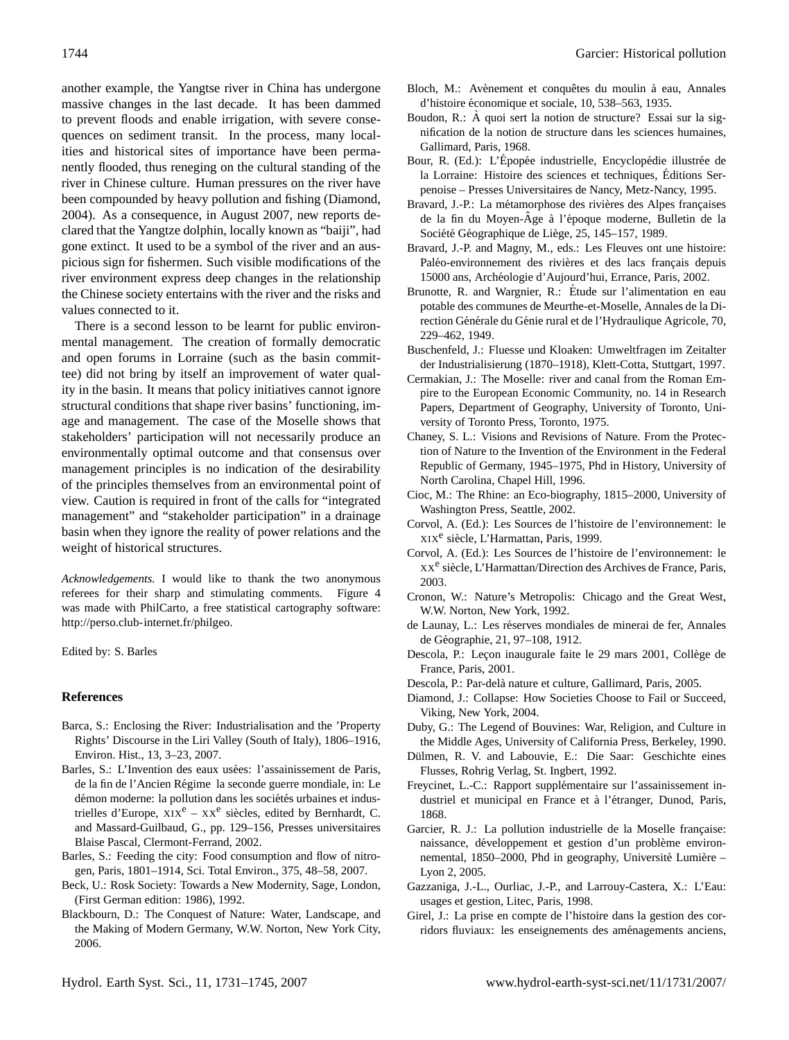another example, the Yangtse river in China has undergone massive changes in the last decade. It has been dammed to prevent floods and enable irrigation, with severe consequences on sediment transit. In the process, many localities and historical sites of importance have been permanently flooded, thus reneging on the cultural standing of the river in Chinese culture. Human pressures on the river have been compounded by heavy pollution and fishing [\(Diamond,](#page-13-27) [2004\)](#page-13-27). As a consequence, in August 2007, new reports declared that the Yangtze dolphin, locally known as "baiji", had gone extinct. It used to be a symbol of the river and an auspicious sign for fishermen. Such visible modifications of the river environment express deep changes in the relationship the Chinese society entertains with the river and the risks and values connected to it.

There is a second lesson to be learnt for public environmental management. The creation of formally democratic and open forums in Lorraine (such as the basin committee) did not bring by itself an improvement of water quality in the basin. It means that policy initiatives cannot ignore structural conditions that shape river basins' functioning, image and management. The case of the Moselle shows that stakeholders' participation will not necessarily produce an environmentally optimal outcome and that consensus over management principles is no indication of the desirability of the principles themselves from an environmental point of view. Caution is required in front of the calls for "integrated management" and "stakeholder participation" in a drainage basin when they ignore the reality of power relations and the weight of historical structures.

*Acknowledgements.* I would like to thank the two anonymous referees for their sharp and stimulating comments. Figure [4](#page-7-0) was made with PhilCarto, a free statistical cartography software: [http://perso.club-internet.fr/philgeo.](http://perso.club-internet.fr/philgeo)

Edited by: S. Barles

#### **References**

- <span id="page-13-8"></span>Barca, S.: Enclosing the River: Industrialisation and the 'Property Rights' Discourse in the Liri Valley (South of Italy), 1806–1916, Environ. Hist., 13, 3–23, 2007.
- <span id="page-13-13"></span>Barles, S.: L'Invention des eaux usées: l'assainissement de Paris, de la fin de l'Ancien Regime la seconde guerre mondiale, in: Le ´ démon moderne: la pollution dans les sociétés urbaines et industrielles d'Europe,  $\overline{XIX}^e - XX^e$  siècles, edited by Bernhardt, C. and Massard-Guilbaud, G., pp. 129–156, Presses universitaires Blaise Pascal, Clermont-Ferrand, 2002.
- <span id="page-13-14"></span>Barles, S.: Feeding the city: Food consumption and flow of nitrogen, Paris, 1801–1914, Sci. Total Environ., 375, 48–58, 2007.
- <span id="page-13-10"></span>Beck, U.: Rosk Society: Towards a New Modernity, Sage, London, (First German edition: 1986), 1992.
- <span id="page-13-18"></span>Blackbourn, D.: The Conquest of Nature: Water, Landscape, and the Making of Modern Germany, W.W. Norton, New York City, 2006.
- <span id="page-13-19"></span>Bloch, M.: Avènement et conquêtes du moulin à eau, Annales d'histoire économique et sociale, 10, 538–563, 1935.
- <span id="page-13-15"></span>Boudon, R.: À quoi sert la notion de structure? Essai sur la signification de la notion de structure dans les sciences humaines, Gallimard, Paris, 1968.
- <span id="page-13-21"></span>Bour, R. (Ed.): L'Épopée industrielle, Encyclopédie illustrée de la Lorraine: Histoire des sciences et techniques, Editions Ser- ´ penoise – Presses Universitaires de Nancy, Metz-Nancy, 1995.
- <span id="page-13-4"></span>Bravard, J.-P.: La métamorphose des rivières des Alpes françaises de la fin du Moyen-Âge à l'époque moderne, Bulletin de la Société Géographique de Liège, 25, 145–157, 1989.
- <span id="page-13-6"></span>Bravard, J.-P. and Magny, M., eds.: Les Fleuves ont une histoire: Paléo-environnement des rivières et des lacs français depuis 15000 ans, Archeologie d'Aujourd'hui, Errance, Paris, 2002. ´
- <span id="page-13-26"></span>Brunotte, R. and Wargnier, R.: Étude sur l'alimentation en eau potable des communes de Meurthe-et-Moselle, Annales de la Direction Générale du Génie rural et de l'Hydraulique Agricole, 70, 229–462, 1949.
- <span id="page-13-23"></span>Buschenfeld, J.: Fluesse und Kloaken: Umweltfragen im Zeitalter der Industrialisierung (1870–1918), Klett-Cotta, Stuttgart, 1997.
- <span id="page-13-22"></span>Cermakian, J.: The Moselle: river and canal from the Roman Empire to the European Economic Community, no. 14 in Research Papers, Department of Geography, University of Toronto, University of Toronto Press, Toronto, 1975.
- <span id="page-13-16"></span>Chaney, S. L.: Visions and Revisions of Nature. From the Protection of Nature to the Invention of the Environment in the Federal Republic of Germany, 1945–1975, Phd in History, University of North Carolina, Chapel Hill, 1996.
- <span id="page-13-9"></span>Cioc, M.: The Rhine: an Eco-biography, 1815–2000, University of Washington Press, Seattle, 2002.
- <span id="page-13-0"></span>Corvol, A. (Ed.): Les Sources de l'histoire de l'environnement: le XIX<sup>e</sup> siècle, L'Harmattan, Paris, 1999.
- <span id="page-13-1"></span>Corvol, A. (Ed.): Les Sources de l'histoire de l'environnement: le XX<sup>e</sup> siècle, L'Harmattan/Direction des Archives de France, Paris, 2003.
- <span id="page-13-7"></span>Cronon, W.: Nature's Metropolis: Chicago and the Great West, W.W. Norton, New York, 1992.
- <span id="page-13-24"></span>de Launay, L.: Les réserves mondiales de minerai de fer, Annales de Geographie, 21, 97–108, 1912. ´
- <span id="page-13-11"></span>Descola, P.: Leçon inaugurale faite le 29 mars 2001, Collège de France, Paris, 2001.
- <span id="page-13-12"></span>Descola, P.: Par-delà nature et culture, Gallimard, Paris, 2005.
- <span id="page-13-27"></span>Diamond, J.: Collapse: How Societies Choose to Fail or Succeed, Viking, New York, 2004.
- <span id="page-13-3"></span>Duby, G.: The Legend of Bouvines: War, Religion, and Culture in the Middle Ages, University of California Press, Berkeley, 1990.
- <span id="page-13-20"></span>Dülmen, R. V. and Labouvie, E.: Die Saar: Geschichte eines Flusses, Rohrig Verlag, St. Ingbert, 1992.
- <span id="page-13-25"></span>Freycinet, L.-C.: Rapport supplémentaire sur l'assainissement industriel et municipal en France et à l'étranger, Dunod, Paris, 1868.
- <span id="page-13-2"></span>Garcier, R. J.: La pollution industrielle de la Moselle française: naissance, développement et gestion d'un problème environnemental, 1850–2000, Phd in geography, Université Lumière – Lyon 2, 2005.
- <span id="page-13-17"></span>Gazzaniga, J.-L., Ourliac, J.-P., and Larrouy-Castera, X.: L'Eau: usages et gestion, Litec, Paris, 1998.
- <span id="page-13-5"></span>Girel, J.: La prise en compte de l'histoire dans la gestion des corridors fluviaux: les enseignements des aménagements anciens,